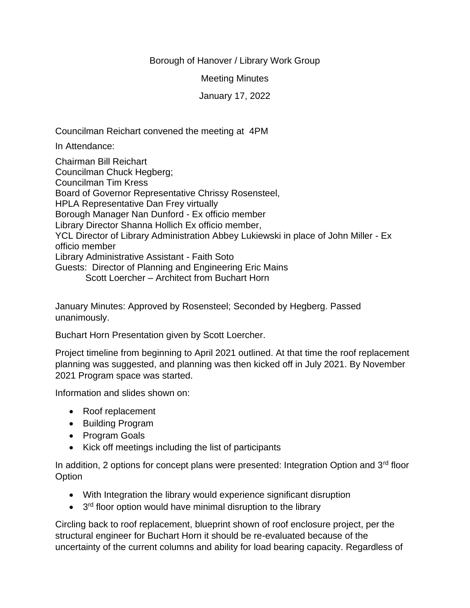## Borough of Hanover / Library Work Group

Meeting Minutes

January 17, 2022

Councilman Reichart convened the meeting at 4PM

In Attendance:

Chairman Bill Reichart Councilman Chuck Hegberg; Councilman Tim Kress Board of Governor Representative Chrissy Rosensteel, HPLA Representative Dan Frey virtually Borough Manager Nan Dunford - Ex officio member Library Director Shanna Hollich Ex officio member, YCL Director of Library Administration Abbey Lukiewski in place of John Miller - Ex officio member Library Administrative Assistant - Faith Soto Guests: Director of Planning and Engineering Eric Mains Scott Loercher – Architect from Buchart Horn

January Minutes: Approved by Rosensteel; Seconded by Hegberg. Passed unanimously.

Buchart Horn Presentation given by Scott Loercher.

Project timeline from beginning to April 2021 outlined. At that time the roof replacement planning was suggested, and planning was then kicked off in July 2021. By November 2021 Program space was started.

Information and slides shown on:

- Roof replacement
- Building Program
- Program Goals
- Kick off meetings including the list of participants

In addition, 2 options for concept plans were presented: Integration Option and 3<sup>rd</sup> floor **Option** 

- With Integration the library would experience significant disruption
- 3<sup>rd</sup> floor option would have minimal disruption to the library

Circling back to roof replacement, blueprint shown of roof enclosure project, per the structural engineer for Buchart Horn it should be re-evaluated because of the uncertainty of the current columns and ability for load bearing capacity. Regardless of